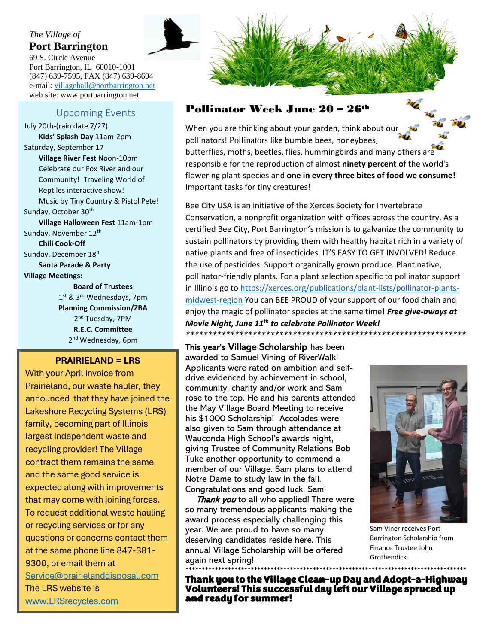#### *The Village of* **Port Barrington**

69 S. Circle Avenue Port Barrington, IL 60010-1001 (847) 639-7595, FAX (847) 639-8694 e-mail: [villagehall@portbarrington.net](mailto:villagehall@portbarrington.net)  web site: www.portbarrington.net

#### Upcoming Events

Sunday, October 30<sup>th</sup> **Village Halloween Fest** 11am-1pm Sunday, November 12<sup>th</sup> **Chili Cook-Off Chili** Cook-Off Sunday, December 18<sup>th</sup> July 20th-(rain date 7/27) **Kids' Splash Day** 11am-2pm Saturday, September 17 **Village River Fest** Noon-10pm Celebrate our Fox River and our Community! Traveling World of Reptiles interactive show! Music by Tiny Country & Pistol Pete!

**Santa Parade & Party Communities to sustain pollination of the sustain pollination of the sustain pollination of the sustain set of the sustain set of the sustain set of the sustain set of the sustain set of the sustain set of the sustainable** 

**by providing them with health healthy branch with health healthy providing them with healthy**  $\mathbf{B}$  **bare**  $\mathbf{B}$  **because**  $\mathbf{B}$  **because**  $\mathbf{B}$  **because**  $\mathbf{B}$  **because**  $\mathbf{B}$  **because**  $\mathbf{B}$  **because**  $\mathbf{B}$  **bec** 1<sup>st</sup> & 3<sup>rd</sup> Wednesdays, 7pm **Planning Commission/ZBA** nd Tuesday, 7PM reproduction of almost **ninety R.E.C. Committee** 2<sup>nd</sup> Wednesday, 6pm

#### **percent of**  $\mathbf{r} = \mathbf{r} \mathbf{r}$

plant species and **one in every**  With your April invoice from<br>——————————————————— Prairieland, our waste hauler, they announced that they have joined the Lakeshore Recycling Systems (LRS) family, becoming part of Illinois largest independent waste and recycling provider! The Village contract them remains the same and the same good service is expected along with improvements that may come with joining forces. To request additional waste hauling or recycling services or for any questions or concerns contact them at the same phone line 847-381- 9300, or email them at [Service@prairielanddisposal.com](mailto:Service@prairielanddisposal.com) The LRS website is [www.LRSrecycles.com](http://www.lrsrecycles.com/)



#### Pollinator Week June 20 – 26th

When you are thinking about your garden, think about our pollinators! Pollinators like bumble bees, honeybees, butterflies, moths, beetles, flies, hummingbirds and many others are responsible for the reproduction of almost **ninety percent of** the world's flowering plant species and **one in every three bites of food we consume!** Important tasks for tiny creatures!

Bee City USA is an initiative of the Xerces Society for Invertebrate Conservation, a nonprofit organization with offices across the country. As a certified Bee City, Port Barrington's mission is to galvanize the community to sustain pollinators by providing them with healthy habitat rich in a variety of native plants and free of insecticides. IT'S EASY TO GET INVOLVED! Reduce the use of pesticides. Support organically grown produce. Plant native, pollinator-friendly plants. For a plant selection specific to pollinator support in Illinois go t[o https://xerces.org/publications/plant-lists/pollinator-plants](https://xerces.org/publications/plant-lists/pollinator-plants-midwest-region)[midwest-region](https://xerces.org/publications/plant-lists/pollinator-plants-midwest-region) You can BEE PROUD of your support of our food chain and enjoy the magic of pollinator species at the same time! *Free give-aways at Movie Night, June 11th to celebrate Pollinator Week! \*\*\*\*\*\*\*\*\*\*\*\*\*\*\*\*\*\*\*\*\*\*\*\*\*\*\*\*\*\*\*\*\*\*\*\*\*\*\*\*\*\*\*\*\*\*\*\*\*\*\*\*\*\*\*\*\*\*\*\*\*\*\**

This year's Village Scholarship has been awarded to Samuel Vining of RiverWalk! Applicants were rated on ambition and selfdrive evidenced by achievement in school, community, charity and/or work and Sam rose to the top. He and his parents attended the May Village Board Meeting to receive his \$1000 Scholarship! Accolades were also given to Sam through attendance at Wauconda High School's awards night, giving Trustee of Community Relations Bob Tuke another opportunity to commend a member of our Village. Sam plans to attend Notre Dame to study law in the fall. Congratulations and good luck, Sam!

Thank you to all who applied! There were so many tremendous applicants making the award process especially challenging this year. We are proud to have so many deserving candidates reside here. This annual Village Scholarship will be offered again next spring!



Sam Viner receives Port Barrington Scholarship from Finance Trustee John Grothendick.

\*\*\*\*\*\*\*\*\*\*\*\*\*\*\*\*\*\*\*\*\*\*\*\*\*\*\*\*\*\*\*\*\*\*\*\*\*\*\*\*\*\*\*\*\*\*\*\*\*\*\*\*\*\*\*\*\*\*\*\*\*\*\*\*\*\*\*\*\*\*\*\*\*\*\*\*\*\*\*\*\*\*\*\*\*\* Thank you to the Village Clean-up Day and Adopt-a-Highway Volunteers! This successful day left our Village spruced up and ready for summer!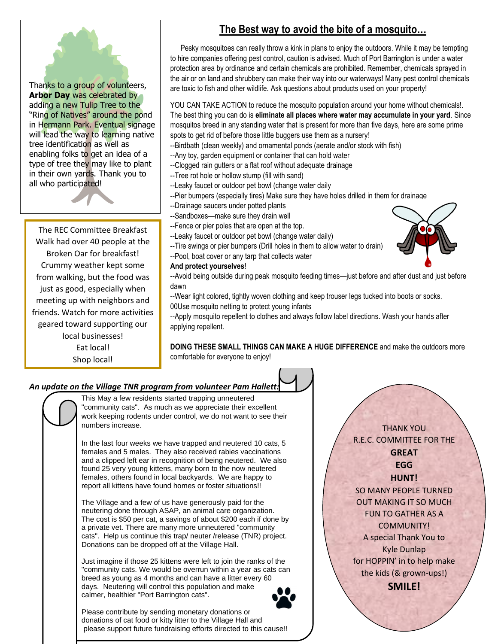# Thanks to a group of volunteers,

**Arbor Day** was celebrated by adding a new Tulip Tree to the "Ring of Natives" around the pond in Hermann Park. Eventual signage will lead the way to learning native tree identification as well as enabling folks to get an idea of a type of tree they may like to plant in their own yards. Thank you to all who participated!

The REC Committee Breakfast Walk had over 40 people at the Broken Oar for breakfast! Crummy weather kept some from walking, but the food was just as good, especially when meeting up with neighbors and friends. Watch for more activities geared toward supporting our local businesses! Eat local! Shop local!

#### **The Best way to avoid the bite of a mosquito…**

 to hire companies offering pest control, caution is advised. Much of Port Barrington is under a water Pesky mosquitoes can really throw a kink in plans to enjoy the outdoors. While it may be tempting protection area by ordinance and certain chemicals are prohibited. Remember, chemicals sprayed in the air or on land and shrubbery can make their way into our waterways! Many pest control chemicals are toxic to fish and other wildlife. Ask questions about products used on your property!

YOU CAN TAKE ACTION to reduce the mosquito population around your home without chemicals!. The best thing you can do is **eliminate all places where water may accumulate in your yard**. Since mosquitos breed in any standing water that is present for more than five days, here are some prime spots to get rid of before those little buggers use them as a nursery!

- --Birdbath (clean weekly) and ornamental ponds (aerate and/or stock with fish)
- --Any toy, garden equipment or container that can hold water
- --Clogged rain gutters or a flat roof without adequate drainage
- --Tree rot hole or hollow stump (fill with sand)
- --Leaky faucet or outdoor pet bowl (change water daily
	- --Pier bumpers (especially tires) Make sure they have holes drilled in them for drainage
	- --Drainage saucers under potted plants
	- --Sandboxes—make sure they drain well
	- --Fence or pier poles that are open at the top.
	- --Leaky faucet or outdoor pet bowl (change water daily)
	- --Tire swings or pier bumpers (Drill holes in them to allow water to drain)
	- --Pool, boat cover or any tarp that collects water

#### **And protect yourselves**!



--Avoid being outside during peak mosquito feeding times—just before and after dust and just before dawn

--Wear light colored, tightly woven clothing and keep trouser legs tucked into boots or socks. 00Use mosquito netting to protect young infants

--Apply mosquito repellent to clothes and always follow label directions. Wash your hands after applying repellent.

**DOING THESE SMALL THINGS CAN MAKE A HUGE DIFFERENCE** and make the outdoors more comfortable for everyone to enjoy!

#### *An update on the Village TNR program from volunteer Pam Hallett:*

This May a few residents started trapping unneutered "community cats". As much as we appreciate their excellent work keeping rodents under control, we do not want to see their numbers increase.

In the last four weeks we have trapped and neutered 10 cats, 5 females and 5 males. They also received rabies vaccinations and a clipped left ear in recognition of being neutered. We also found 25 very young kittens, many born to the now neutered females, others found in local backyards. We are happy to report all kittens have found homes or foster situations!!

The Village and a few of us have generously paid for the neutering done through ASAP, an animal care organization. The cost is \$50 per cat, a savings of about \$200 each if done by a private vet. There are many more unneutered "community cats". Help us continue this trap/ neuter /release (TNR) project. Donations can be dropped off at the Village Hall.

Just imagine if those 25 kittens were left to join the ranks of the "community cats. We would be overrun within a year as cats can breed as young as 4 months and can have a litter every 60 days. Neutering will control this population and make calmer, healthier "Port Barrington cats".



Please contribute by sending monetary donations or donations of cat food or kitty litter to the Village Hall and please support future fundraising efforts directed to this cause!!

THANK YOU R.E.C. COMMITTEE FOR THE **GREAT EGG HUNT!**

SO MANY PEOPLE TURNED OUT MAKING IT SO MUCH FUN TO GATHER AS A COMMUNITY! A special Thank You to Kyle Dunlap for HOPPIN' in to help make the kids (& grown-ups!) **SMILE!**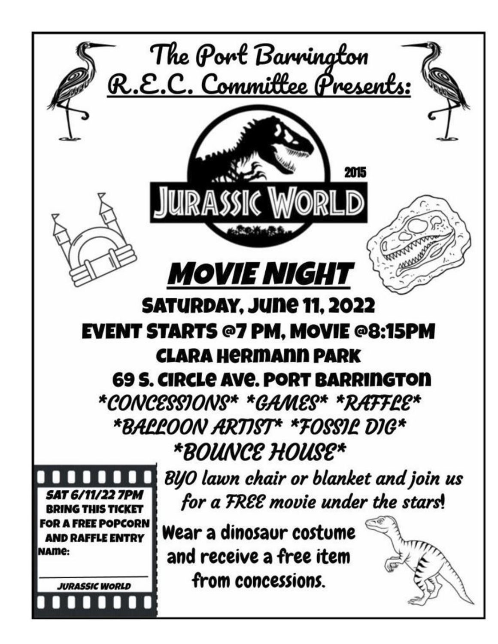